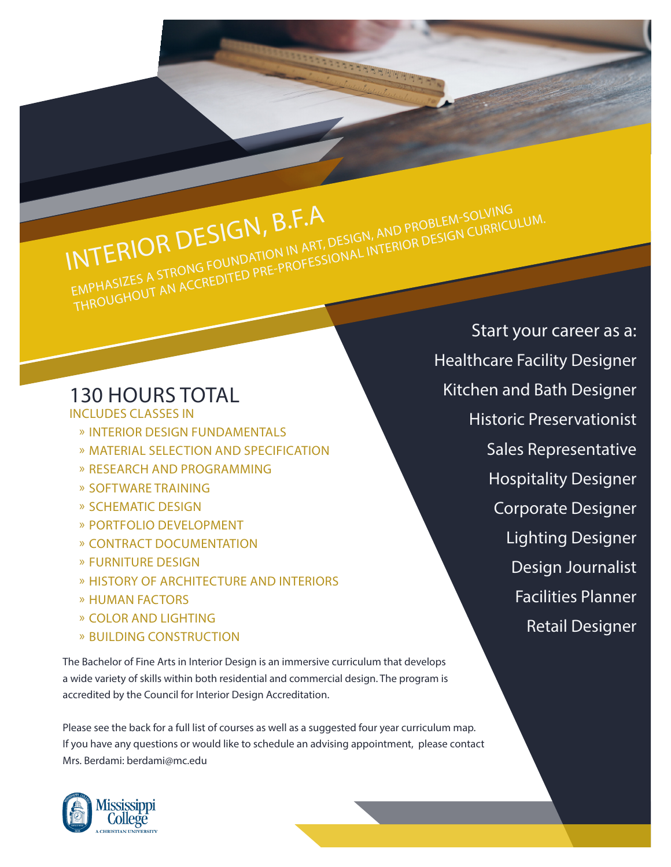## INTERIOR DESIGN, B.F.A EMPHASIZES A STRONG FOUNDATION IN ART, DESIGN, AND PROBLEM-SOLVING<br>EMPHASIZES A STRONG FOUNDATION IN ART, DESIGN, AND PROBLEM-SOLVING EIVIFTASIZES A STRONG FOUNDATION IN ART, DESIGN, AND PROBLEM SOLVING<br>THROUGHOUT AN ACCREDITED PRE-PROFESSIONAL INTERIOR DESIGN CURRICULUM.

## 130 HOURS TOTAL

INCLUDES CLASSES IN

- » INTERIOR DESIGN FUNDAMENTALS
- » MATERIAL SELECTION AND SPECIFICATION
- » RESEARCH AND PROGRAMMING
- » SOFTWARE TRAINING
- » SCHEMATIC DESIGN
- » PORTFOLIO DEVELOPMENT
- » CONTRACT DOCUMENTATION
- » FURNITURE DESIGN
- » HISTORY OF ARCHITECTURE AND INTERIORS
- » HUMAN FACTORS
- » COLOR AND LIGHTING
- » BUILDING CONSTRUCTION

The Bachelor of Fine Arts in Interior Design is an immersive curriculum that develops a wide variety of skills within both residential and commercial design. The program is accredited by the Council for Interior Design Accreditation.

Please see the back for a full list of courses as well as a suggested four year curriculum map. If you have any questions or would like to schedule an advising appointment, please contact Mrs. Berdami: berdami@mc.edu



Start your career as a: Healthcare Facility Designer Kitchen and Bath Designer Historic Preservationist Sales Representative Hospitality Designer Corporate Designer Lighting Designer Design Journalist Facilities Planner Retail Designer